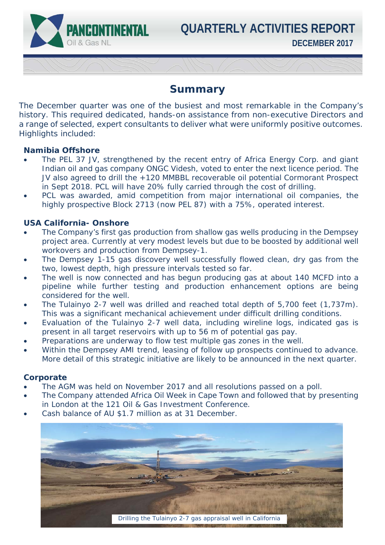**DECEMBER 2017 QUARTERLY ACTIVITIES REPORT**

## **Summary**

The December quarter was one of the busiest and most remarkable in the Company's history. This required dedicated, hands-on assistance from non-executive Directors and a range of selected, expert consultants to deliver what were uniformly positive outcomes. Highlights included:

## **Namibia Offshore**

 $\overline{\phantom{a}}$ 

PANCONTINENTAL

Oil & Gas NL

- The PEL 37 JV, strengthened by the recent entry of Africa Energy Corp. and giant Indian oil and gas company ONGC Videsh, voted to enter the next licence period. The JV also agreed to drill the +120 MMBBL recoverable oil potential Cormorant Prospect in Sept 2018. PCL will have 20% fully carried through the cost of drilling.
- PCL was awarded, amid competition from major international oil companies, the highly prospective Block 2713 (now PEL 87) with a 75%, operated interest.

## **USA California- Onshore**

- The Company's first gas production from shallow gas wells producing in the Dempsey project area. Currently at very modest levels but due to be boosted by additional well workovers and production from Dempsey-1.
- The Dempsey 1-15 gas discovery well successfully flowed clean, dry gas from the two, lowest depth, high pressure intervals tested so far.
- The well is now connected and has begun producing gas at about 140 MCFD into a pipeline while further testing and production enhancement options are being considered for the well.
- The Tulainyo 2-7 well was drilled and reached total depth of 5,700 feet (1,737m). This was a significant mechanical achievement under difficult drilling conditions.
- Evaluation of the Tulainyo 2-7 well data, including wireline logs, indicated gas is present in all target reservoirs with up to 56 m of potential gas pay.
- Preparations are underway to flow test multiple gas zones in the well.
- Within the Dempsey AMI trend, leasing of follow up prospects continued to advance. More detail of this strategic initiative are likely to be announced in the next quarter.

## **Corporate**

- The AGM was held on November 2017 and all resolutions passed on a poll.
- The Company attended Africa Oil Week in Cape Town and followed that by presenting in London at the 121 Oil & Gas Investment Conference.
- Cash balance of AU \$1.7 million as at 31 December.

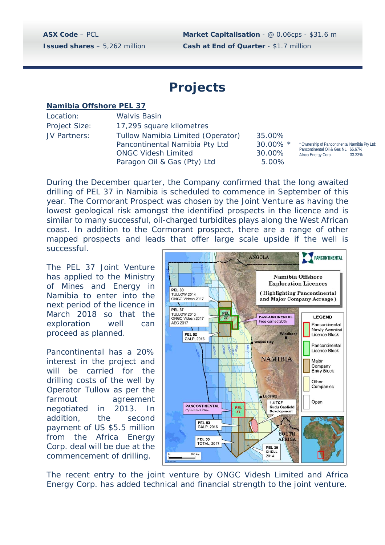**ASX Code** – PCL **Market Capitalisation** - @ 0.06cps - \$31.6 m **Issued shares** – 5,262 million **Cash at End of Quarter** - \$1.7 million

# **Projects**

#### **Namibia Offshore PEL 37**

| Location:     |  |  |  |
|---------------|--|--|--|
| Project Size: |  |  |  |
| JV Partners:  |  |  |  |

Walvis Basin 17,295 square kilometres Tullow Namibia Limited (Operator) 35.00% Pancontinental Namibia Pty Ltd 30.00% \* ONGC Videsh Limited 30.00% Paragon Oil & Gas (Pty) Ltd 5.00%

\* Ownership of Pancontinental Namibia Pty Ltd: Pancontinental Oil & Gas NL 66.67%<br>Africa Energy Corn 33.33% Africa Energy Corp.

During the December quarter, the Company confirmed that the long awaited drilling of PEL 37 in Namibia is scheduled to commence in September of this year. The Cormorant Prospect was chosen by the Joint Venture as having the lowest geological risk amongst the identified prospects in the licence and is similar to many successful, oil-charged turbidites plays along the West African coast. In addition to the Cormorant prospect, there are a range of other mapped prospects and leads that offer large scale upside if the well is successful.

The PEL 37 Joint Venture has applied to the Ministry of Mines and Energy in Namibia to enter into the next period of the licence in March 2018 so that the exploration well can proceed as planned.

Pancontinental has a 20% interest in the project and will be carried for the drilling costs of the well by Operator Tullow as per the farmout agreement negotiated in 2013. In addition, the second payment of US \$5.5 million from the Africa Energy Corp. deal will be due at the commencement of drilling.



The recent entry to the joint venture by ONGC Videsh Limited and Africa Energy Corp. has added technical and financial strength to the joint venture.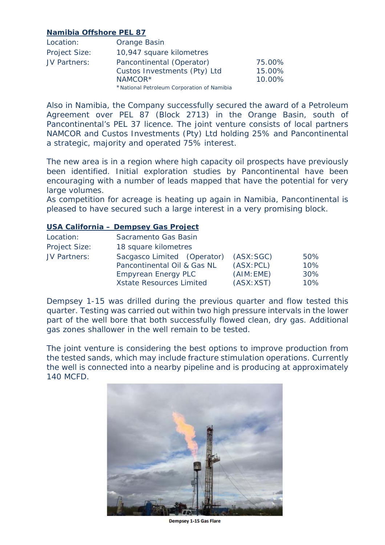## **Namibia Offshore PEL 87**

| Location:            | Orange Basin                               |        |
|----------------------|--------------------------------------------|--------|
| <b>Project Size:</b> | 10,947 square kilometres                   |        |
| JV Partners:         | Pancontinental (Operator)                  | 75.00% |
|                      | Custos Investments (Pty) Ltd               | 15.00% |
|                      | NAMCOR*                                    | 10.00% |
|                      | *National Petroleum Corporation of Namibia |        |

Also in Namibia, the Company successfully secured the award of a Petroleum Agreement over PEL 87 (Block 2713) in the Orange Basin, south of Pancontinental's PEL 37 licence. The joint venture consists of local partners NAMCOR and Custos Investments (Pty) Ltd holding 25% and Pancontinental a strategic, majority and operated 75% interest.

The new area is in a region where high capacity oil prospects have previously been identified. Initial exploration studies by Pancontinental have been encouraging with a number of leads mapped that have the potential for very large volumes.

As competition for acreage is heating up again in Namibia, Pancontinental is pleased to have secured such a large interest in a very promising block.

## **USA California – Dempsey Gas Project**

| Location:     | Sacramento Gas Basin            |            |     |  |  |
|---------------|---------------------------------|------------|-----|--|--|
| Project Size: | 18 square kilometres            |            |     |  |  |
| JV Partners:  | Sacgasco Limited (Operator)     | (ASK:SGC)  | 50% |  |  |
|               | Pancontinental Oil & Gas NL     | (ASK: PCL) | 10% |  |  |
|               | <b>Empyrean Energy PLC</b>      | (AIM:EME)  | 30% |  |  |
|               | <b>Xstate Resources Limited</b> | (ASK: XST) | 10% |  |  |

Dempsey 1-15 was drilled during the previous quarter and flow tested this quarter. Testing was carried out within two high pressure intervals in the lower part of the well bore that both successfully flowed clean, dry gas. Additional gas zones shallower in the well remain to be tested.

The joint venture is considering the best options to improve production from the tested sands, which may include fracture stimulation operations. Currently the well is connected into a nearby pipeline and is producing at approximately 140 MCFD.



**Dempsey 1-15 Gas Flare**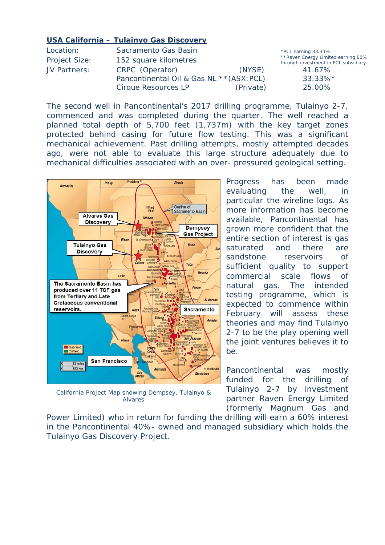#### **USA California – Tulainyo Gas Discovery**

| Location:     | Sacramento Gas Basin                      |           | *PCL earning 33.33%.                                                         |
|---------------|-------------------------------------------|-----------|------------------------------------------------------------------------------|
| Project Size: | 152 square kilometres                     |           | ** Raven Energy Limited earning 60%<br>through investment in PCL subsidiary. |
| JV Partners:  | CRPC (Operator)                           | (NYSE)    | 41.67%                                                                       |
|               | Pancontinental Oil & Gas NL ** (ASX: PCL) |           | $33.33\%*$                                                                   |
|               | Cirque Resources LP                       | (Private) | 25.00%                                                                       |

The second well in Pancontinental's 2017 drilling programme, Tulainyo 2-7, commenced and was completed during the quarter. The well reached a planned total depth of 5,700 feet (1,737m) with the key target zones protected behind casing for future flow testing. This was a significant mechanical achievement. Past drilling attempts, mostly attempted decades ago, were not able to evaluate this large structure adequately due to mechanical difficulties associated with an over- pressured geological setting.



California Project Map showing Dempsey, Tulainyo & Alvares

Progress has been made evaluating the well, in particular the wireline logs. As more information has become available, Pancontinental has grown more confident that the entire section of interest is gas saturated and there are sandstone reservoirs of sufficient quality to support commercial scale flows of natural gas. The intended testing programme, which is expected to commence within February will assess these theories and may find Tulainyo 2-7 to be the play opening well the joint ventures believes it to be.

Pancontinental was mostly funded for the drilling of Tulainyo 2-7 by investment partner Raven Energy Limited (formerly Magnum Gas and

Power Limited) who in return for funding the drilling will earn a 60% interest in the Pancontinental 40%- owned and managed subsidiary which holds the Tulainyo Gas Discovery Project.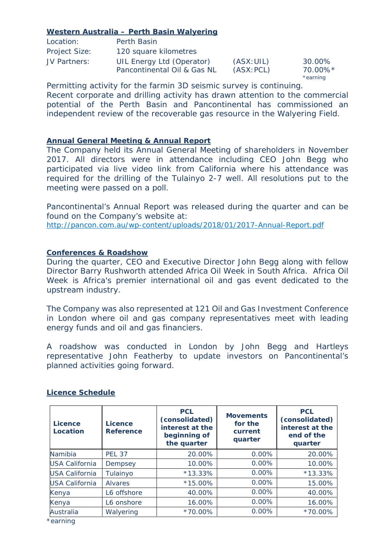## **Western Australia – Perth Basin Walyering**

| Location:     | Perth Basin                                              |                          |                               |
|---------------|----------------------------------------------------------|--------------------------|-------------------------------|
| Project Size: | 120 square kilometres                                    |                          |                               |
| JV Partners:  | UIL Energy Ltd (Operator)<br>Pancontinental Oil & Gas NL | (ASK: UIL)<br>(ASK: PCL) | 30.00%<br>70.00%*<br>*earning |

Permitting activity for the farmin 3D seismic survey is continuing. Recent corporate and drilling activity has drawn attention to the commercial potential of the Perth Basin and Pancontinental has commissioned an independent review of the recoverable gas resource in the Walyering Field.

## **Annual General Meeting & Annual Report**

The Company held its Annual General Meeting of shareholders in November 2017. All directors were in attendance including CEO John Begg who participated via live video link from California where his attendance was required for the drilling of the Tulainyo 2-7 well. All resolutions put to the meeting were passed on a poll.

Pancontinental's Annual Report was released during the quarter and can be found on the Company's website at:

http://pancon.com.au/wp-content/uploads/2018/01/2017-Annual-Report.pdf

## **Conferences & Roadshow**

During the quarter, CEO and Executive Director John Begg along with fellow Director Barry Rushworth attended Africa Oil Week in South Africa. Africa Oil Week is Africa's premier international oil and gas event dedicated to the upstream industry.

The Company was also represented at 121 Oil and Gas Investment Conference in London where oil and gas company representatives meet with leading energy funds and oil and gas financiers.

A roadshow was conducted in London by John Begg and Hartleys representative John Featherby to update investors on Pancontinental's planned activities going forward.

| Licence<br>Location   | Licence<br><b>Reference</b> | <b>PCL</b><br>(consolidated)<br>interest at the<br>beginning of<br>the quarter | <b>Movements</b><br>for the<br>current<br>quarter | <b>PCL</b><br>(consolidated)<br>interest at the<br>end of the<br>quarter |
|-----------------------|-----------------------------|--------------------------------------------------------------------------------|---------------------------------------------------|--------------------------------------------------------------------------|
| Namibia               | <b>PEL 37</b>               | 20.00%                                                                         | 0.00%                                             | 20.00%                                                                   |
| <b>USA California</b> | Dempsey                     | 10.00%                                                                         | $0.00\%$                                          | 10.00%                                                                   |
| <b>USA California</b> | Tulainyo                    | $*13.33\%$                                                                     | $0.00\%$                                          | $*13.33\%$                                                               |
| <b>USA California</b> | <b>Alvares</b>              | $*15.00\%$                                                                     | $0.00\%$                                          | 15.00%                                                                   |
| Kenya                 | L6 offshore                 | 40.00%                                                                         | $0.00\%$                                          | 40.00%                                                                   |
| Kenya                 | L6 onshore                  | 16.00%                                                                         | $0.00\%$                                          | 16.00%                                                                   |
| Australia             | Walyering                   | *70.00%                                                                        | 0.00%                                             | *70.00%                                                                  |

#### **Licence Schedule**

\*earning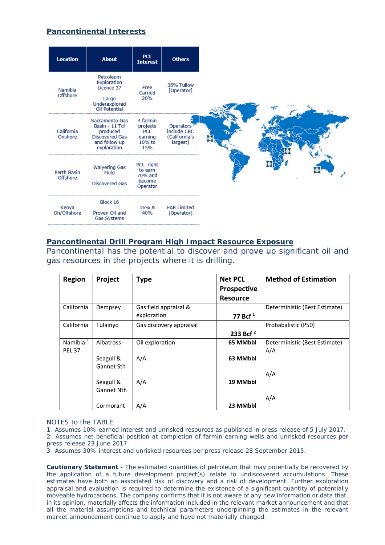## **Pancontinental Interests**



#### **Pancontinental Drill Program High Impact Resource Exposure**

Pancontinental has the potential to discover and prove up significant oil and gas resources in the projects where it is drilling.

| <b>Region</b>        | Project           | <b>Type</b>             | <b>Net PCL</b><br><b>Prospective</b> | <b>Method of Estimation</b>   |
|----------------------|-------------------|-------------------------|--------------------------------------|-------------------------------|
|                      |                   |                         | <b>Resource</b>                      |                               |
| California           | Dempsey           | Gas field appraisal &   |                                      | Deterministic (Best Estimate) |
|                      |                   | exploration             | 77 Bcf $1$                           |                               |
| California           | Tulainyo          | Gas discovery appraisal |                                      | Probabalistic (P50)           |
|                      |                   |                         | 233 Bcf <sup>2</sup>                 |                               |
| Namibia <sup>3</sup> | <b>Albatross</b>  | Oil exploration         | 65 MMbbl                             | Deterministic (Best Estimate) |
| <b>PEL 37</b>        |                   |                         |                                      | A/A                           |
|                      | Seagull &         | A/A                     | 63 MMbbl                             |                               |
|                      | Gannet Sth        |                         |                                      |                               |
|                      |                   |                         |                                      | A/A                           |
|                      | Seagull &         | A/A                     | 19 MMbbl                             |                               |
|                      | <b>Gannet Nth</b> |                         |                                      |                               |
|                      |                   |                         |                                      | A/A                           |
|                      | Cormorant         | A/A                     | 23 MMbbl                             |                               |

#### NOTES to the TABLE

1- Assumes 10% earned interest and unrisked resources *as published in press release of 5 July 2017.*  2- Assumes net beneficial position at completion of farmin earning wells and unrisked resources *per press release 23 June 2017.* 

3- Assumes 30% interest and unrisked resources *per press release 28 September 2015.* 

**Cautionary Statement -** The estimated quantities of petroleum that may potentially be recovered by the application of a future development project(s) relate to undiscovered accumulations. These estimates have both an associated risk of discovery and a risk of development. Further exploration appraisal and evaluation is required to determine the existence of a significant quantity of potentially moveable hydrocarbons. The company confirms that it is not aware of any new information or data that, in its opinion, materially affects the information included in the relevant market announcement and that all the material assumptions and technical parameters underpinning the estimates in the relevant market announcement continue to apply and have not materially changed.